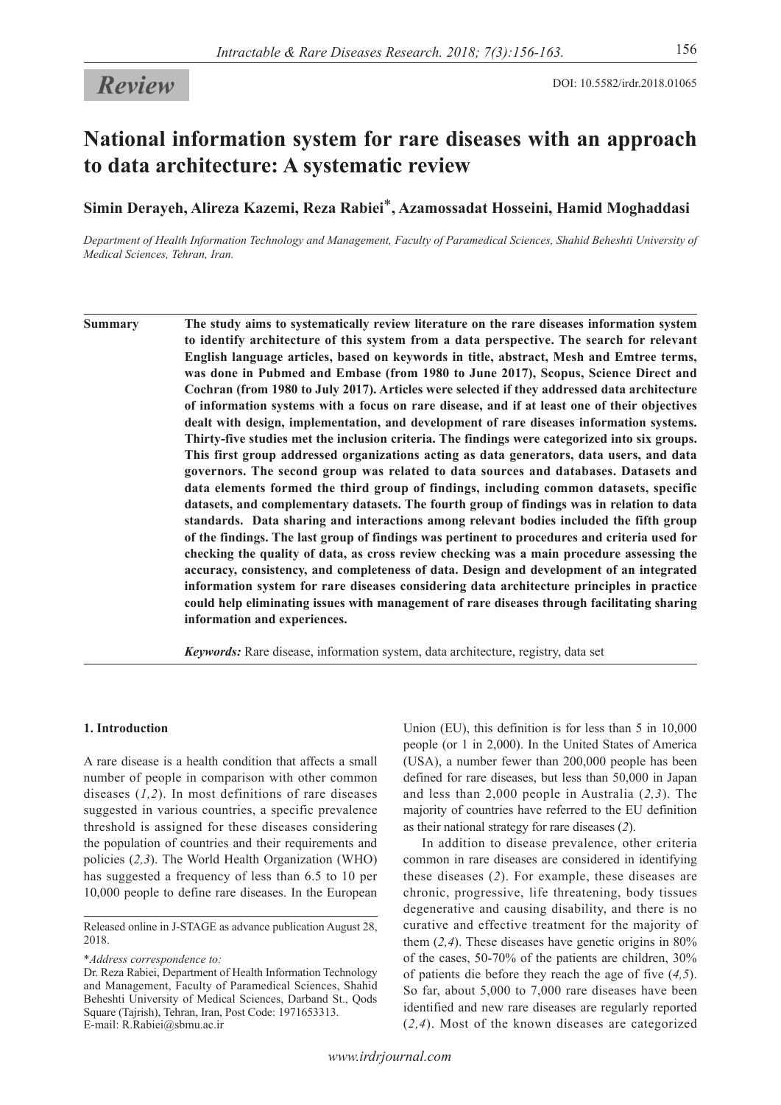# **National information system for rare diseases with an approach to data architecture: A systematic review**

**Simin Derayeh, Alireza Kazemi, Reza Rabiei**\***, Azamossadat Hosseini, Hamid Moghaddasi** 

*Department of Health Information Technology and Management, Faculty of Paramedical Sciences, Shahid Beheshti University of Medical Sciences, Tehran, Iran.*

**Summary The study aims to systematically review literature on the rare diseases information system to identify architecture of this system from a data perspective. The search for relevant English language articles, based on keywords in title, abstract, Mesh and Emtree terms, was done in Pubmed and Embase (from 1980 to June 2017), Scopus, Science Direct and Cochran (from 1980 to July 2017). Articles were selected if they addressed data architecture of information systems with a focus on rare disease, and if at least one of their objectives dealt with design, implementation, and development of rare diseases information systems. Thirty-five studies met the inclusion criteria. The findings were categorized into six groups. This first group addressed organizations acting as data generators, data users, and data governors. The second group was related to data sources and databases. Datasets and data elements formed the third group of findings, including common datasets, specific datasets, and complementary datasets. The fourth group of findings was in relation to data standards. Data sharing and interactions among relevant bodies included the fifth group of the findings. The last group of findings was pertinent to procedures and criteria used for checking the quality of data, as cross review checking was a main procedure assessing the accuracy, consistency, and completeness of data. Design and development of an integrated information system for rare diseases considering data architecture principles in practice could help eliminating issues with management of rare diseases through facilitating sharing information and experiences.**

*Keywords:* Rare disease, information system, data architecture, registry, data set

## **1. Introduction**

A rare disease is a health condition that affects a small number of people in comparison with other common diseases (*1,2*). In most definitions of rare diseases suggested in various countries, a specific prevalence threshold is assigned for these diseases considering the population of countries and their requirements and policies (*2,3*). The World Health Organization (WHO) has suggested a frequency of less than 6.5 to 10 per 10,000 people to define rare diseases. In the European

\**Address correspondence to:*

Dr. Reza Rabiei, Department of Health Information Technology and Management, Faculty of Paramedical Sciences, Shahid Beheshti University of Medical Sciences, Darband St., Qods Square (Tajrish), Tehran, Iran, Post Code: 1971653313. E-mail: R.Rabiei@sbmu.ac.ir

Union (EU), this definition is for less than 5 in 10,000 people (or 1 in 2,000). In the United States of America (USA), a number fewer than 200,000 people has been defined for rare diseases, but less than 50,000 in Japan and less than 2,000 people in Australia (*2,3*). The majority of countries have referred to the EU definition as their national strategy for rare diseases (*2*).

In addition to disease prevalence, other criteria common in rare diseases are considered in identifying these diseases (*2*). For example, these diseases are chronic, progressive, life threatening, body tissues degenerative and causing disability, and there is no curative and effective treatment for the majority of them (*2,4*). These diseases have genetic origins in 80% of the cases, 50-70% of the patients are children, 30% of patients die before they reach the age of five (*4,5*). So far, about 5,000 to 7,000 rare diseases have been identified and new rare diseases are regularly reported (*2,4*). Most of the known diseases are categorized

Released online in J-STAGE as advance publication August 28, 2018.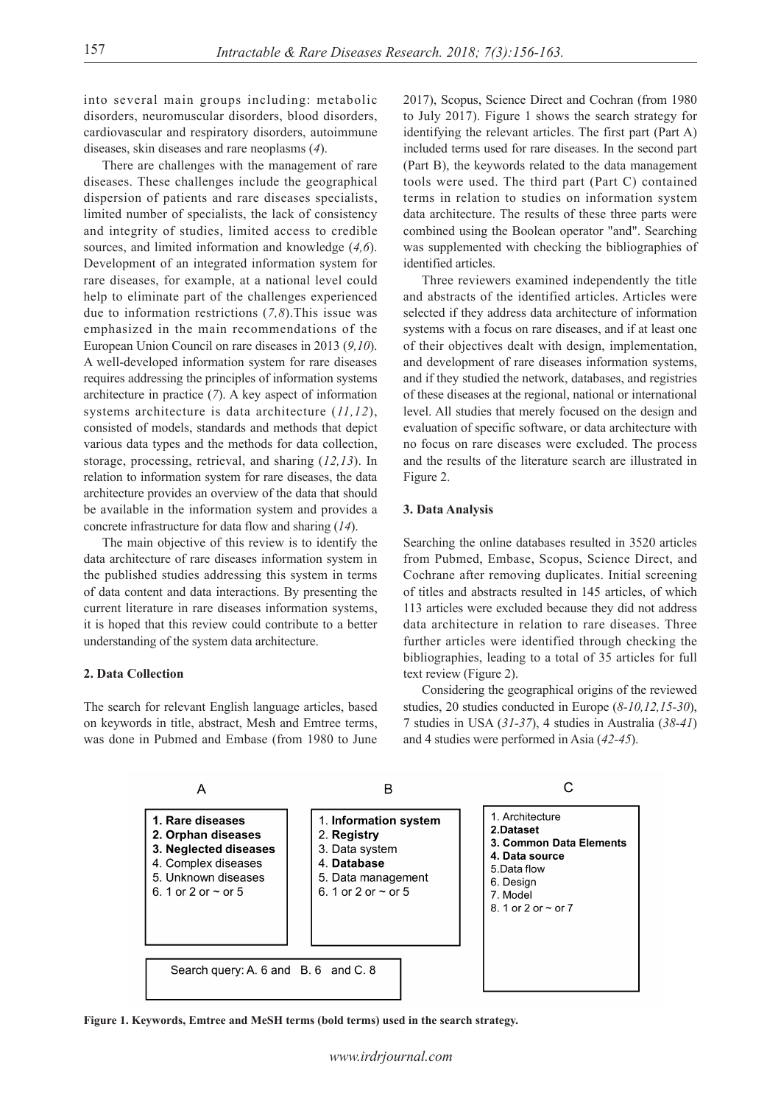into several main groups including: metabolic disorders, neuromuscular disorders, blood disorders, cardiovascular and respiratory disorders, autoimmune diseases, skin diseases and rare neoplasms (*4*).

There are challenges with the management of rare diseases. These challenges include the geographical dispersion of patients and rare diseases specialists, limited number of specialists, the lack of consistency and integrity of studies, limited access to credible sources, and limited information and knowledge (*4,6*). Development of an integrated information system for rare diseases, for example, at a national level could help to eliminate part of the challenges experienced due to information restrictions (*7,8*).This issue was emphasized in the main recommendations of the European Union Council on rare diseases in 2013 (*9,10*). A well-developed information system for rare diseases requires addressing the principles of information systems architecture in practice (*7*). A key aspect of information systems architecture is data architecture (*11,12*), consisted of models, standards and methods that depict various data types and the methods for data collection, storage, processing, retrieval, and sharing (*12,13*). In relation to information system for rare diseases, the data architecture provides an overview of the data that should be available in the information system and provides a concrete infrastructure for data flow and sharing (*14*).

The main objective of this review is to identify the data architecture of rare diseases information system in the published studies addressing this system in terms of data content and data interactions. By presenting the current literature in rare diseases information systems, it is hoped that this review could contribute to a better understanding of the system data architecture.

#### **2. Data Collection**

The search for relevant English language articles, based on keywords in title, abstract, Mesh and Emtree terms, was done in Pubmed and Embase (from 1980 to June 2017), Scopus, Science Direct and Cochran (from 1980 to July 2017). Figure 1 shows the search strategy for identifying the relevant articles. The first part (Part A) included terms used for rare diseases. In the second part (Part B), the keywords related to the data management tools were used. The third part (Part C) contained terms in relation to studies on information system data architecture. The results of these three parts were combined using the Boolean operator "and". Searching was supplemented with checking the bibliographies of identified articles.

Three reviewers examined independently the title and abstracts of the identified articles. Articles were selected if they address data architecture of information systems with a focus on rare diseases, and if at least one of their objectives dealt with design, implementation, and development of rare diseases information systems, and if they studied the network, databases, and registries of these diseases at the regional, national or international level. All studies that merely focused on the design and evaluation of specific software, or data architecture with no focus on rare diseases were excluded. The process and the results of the literature search are illustrated in Figure 2.

## **3. Data Analysis**

Searching the online databases resulted in 3520 articles from Pubmed, Embase, Scopus, Science Direct, and Cochrane after removing duplicates. Initial screening of titles and abstracts resulted in 145 articles, of which 113 articles were excluded because they did not address data architecture in relation to rare diseases. Three further articles were identified through checking the bibliographies, leading to a total of 35 articles for full text review (Figure 2).

Considering the geographical origins of the reviewed studies, 20 studies conducted in Europe (*8-10,12,15-30*), 7 studies in USA (*31-37*), 4 studies in Australia (*38-41*) and 4 studies were performed in Asia (*42-45*).



**Figure 1. Keywords, Emtree and MeSH terms (bold terms) used in the search strategy.**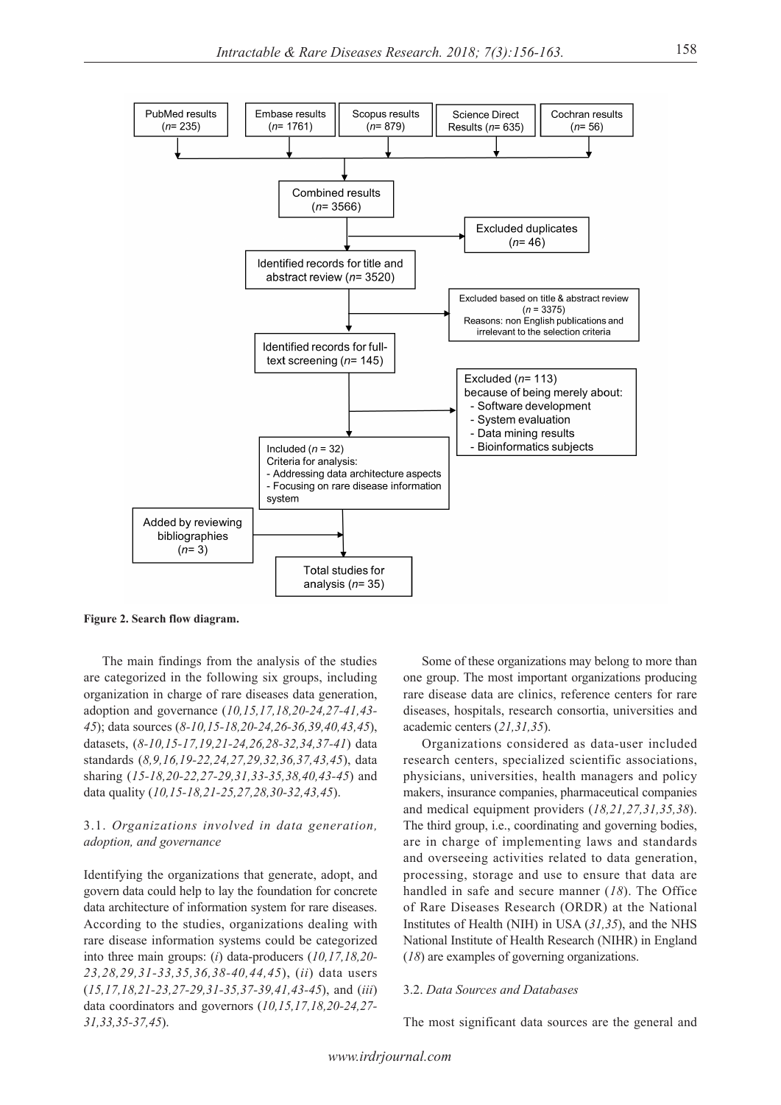

**Figure 2. Search flow diagram.**

The main findings from the analysis of the studies are categorized in the following six groups, including organization in charge of rare diseases data generation, adoption and governance (*10,15,17,18,20-24,27-41,43- 45*); data sources (*8-10,15-18,20-24,26-36,39,40,43,45*), datasets, (*8-10,15-17,19,21-24,26,28-32,34,37-41*) data standards (*8,9,16,19-22,24,27,29,32,36,37,43,45*), data sharing (*15-18,20-22,27-29,31,33-35,38,40,43-45*) and data quality (*10,15-18,21-25,27,28,30-32,43,45*).

## 3.1. *Organizations involved in data generation, adoption, and governance*

Identifying the organizations that generate, adopt, and govern data could help to lay the foundation for concrete data architecture of information system for rare diseases. According to the studies, organizations dealing with rare disease information systems could be categorized into three main groups: (*i*) data-producers (*10,17,18,20- 23,28,29,31-33,35,36,38-40,44,45*), (*ii*) data users (*15,17,18,21-23,27-29,31-35,37-39,41,43-45*), and (*iii*) data coordinators and governors (*10,15,17,18,20-24,27- 31,33,35-37,45*).

Some of these organizations may belong to more than one group. The most important organizations producing rare disease data are clinics, reference centers for rare diseases, hospitals, research consortia, universities and academic centers (*21,31,35*).

Organizations considered as data-user included research centers, specialized scientific associations, physicians, universities, health managers and policy makers, insurance companies, pharmaceutical companies and medical equipment providers (*18,21,27,31,35,38*). The third group, i.e., coordinating and governing bodies, are in charge of implementing laws and standards and overseeing activities related to data generation, processing, storage and use to ensure that data are handled in safe and secure manner (*18*). The Office of Rare Diseases Research (ORDR) at the National Institutes of Health (NIH) in USA (*31,35*), and the NHS National Institute of Health Research (NIHR) in England (*18*) are examples of governing organizations.

#### 3.2. *Data Sources and Databases*

The most significant data sources are the general and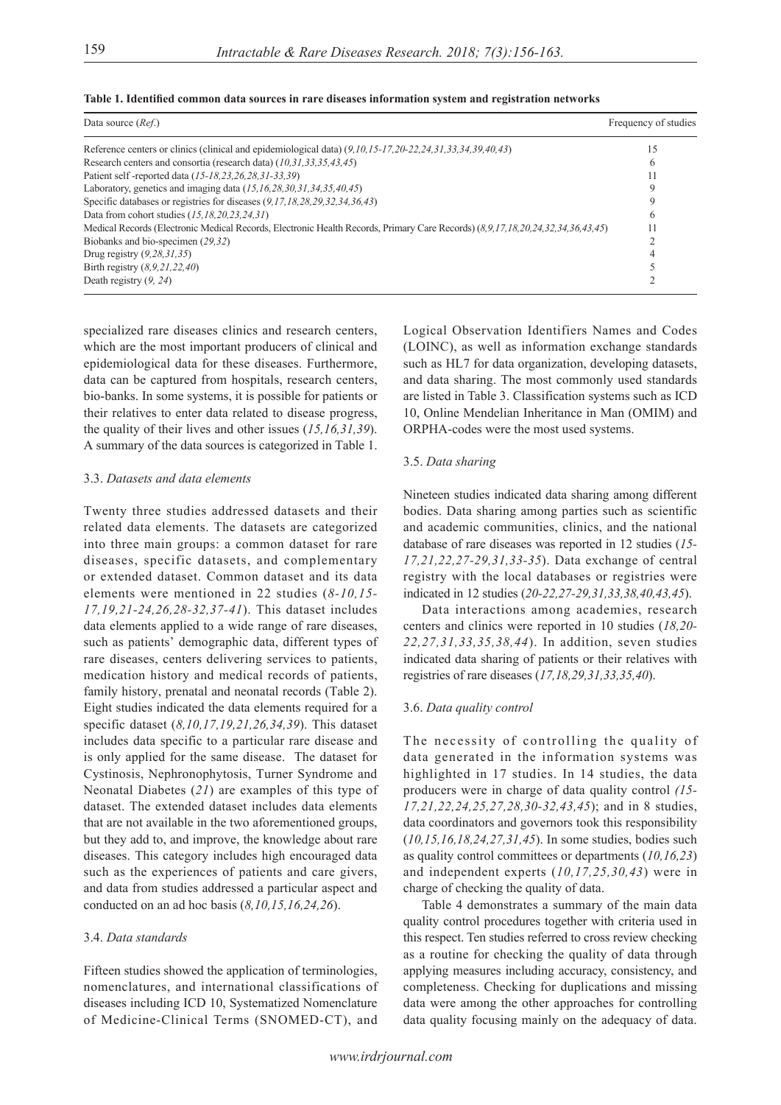| Data source $(Ref.)$                                                                                                           | Frequency of studies |
|--------------------------------------------------------------------------------------------------------------------------------|----------------------|
| Reference centers or clinics (clinical and epidemiological data) $(9, 10, 15 - 17, 20 - 22, 24, 31, 33, 34, 39, 40, 43)$       | 15                   |
| Research centers and consortia (research data) (10,31,33,35,43,45)                                                             | n                    |
| Patient self-reported data (15-18, 23, 26, 28, 31-33, 39)                                                                      |                      |
| Laboratory, genetics and imaging data $(15, 16, 28, 30, 31, 34, 35, 40, 45)$                                                   |                      |
| Specific databases or registries for diseases $(9,17,18,28,29,32,34,36,43)$                                                    |                      |
| Data from cohort studies $(15, 18, 20, 23, 24, 31)$                                                                            | h                    |
| Medical Records (Electronic Medical Records, Electronic Health Records, Primary Care Records) (8,9,17,18,20,24,32,34,36,43,45) |                      |
| Biobanks and bio-specimen (29,32)                                                                                              |                      |
| Drug registry $(9, 28, 31, 35)$                                                                                                |                      |
| Birth registry $(8, 9, 21, 22, 40)$                                                                                            |                      |
| Death registry $(9, 24)$                                                                                                       |                      |

**Table 1. Identified common data sources in rare diseases information system and registration networks**

specialized rare diseases clinics and research centers, which are the most important producers of clinical and epidemiological data for these diseases. Furthermore, data can be captured from hospitals, research centers, bio-banks. In some systems, it is possible for patients or their relatives to enter data related to disease progress, the quality of their lives and other issues (*15,16,31,39*). A summary of the data sources is categorized in Table 1.

#### 3.3. *Datasets and data elements*

Twenty three studies addressed datasets and their related data elements. The datasets are categorized into three main groups: a common dataset for rare diseases, specific datasets, and complementary or extended dataset. Common dataset and its data elements were mentioned in 22 studies (*8-10,15- 17,19,21-24,26,28-32,37-41*). This dataset includes data elements applied to a wide range of rare diseases, such as patients' demographic data, different types of rare diseases, centers delivering services to patients, medication history and medical records of patients, family history, prenatal and neonatal records (Table 2). Eight studies indicated the data elements required for a specific dataset (*8,10,17,19,21,26,34,39*). This dataset includes data specific to a particular rare disease and is only applied for the same disease. The dataset for Cystinosis, Nephronophytosis, Turner Syndrome and Neonatal Diabetes (*21*) are examples of this type of dataset. The extended dataset includes data elements that are not available in the two aforementioned groups, but they add to, and improve, the knowledge about rare diseases. This category includes high encouraged data such as the experiences of patients and care givers, and data from studies addressed a particular aspect and conducted on an ad hoc basis (*8,10,15,16,24,26*).

## 3.4. *Data standards*

Fifteen studies showed the application of terminologies, nomenclatures, and international classifications of diseases including ICD 10, Systematized Nomenclature of Medicine-Clinical Terms (SNOMED-CT), and

Logical Observation Identifiers Names and Codes (LOINC), as well as information exchange standards such as HL7 for data organization, developing datasets, and data sharing. The most commonly used standards are listed in Table 3. Classification systems such as ICD 10, Online Mendelian Inheritance in Man (OMIM) and ORPHA-codes were the most used systems.

#### 3.5. *Data sharing*

Nineteen studies indicated data sharing among different bodies. Data sharing among parties such as scientific and academic communities, clinics, and the national database of rare diseases was reported in 12 studies (*15- 17,21,22,27-29,31,33-35*). Data exchange of central registry with the local databases or registries were indicated in 12 studies (*20-22,27-29,31,33,38,40,43,45*).

Data interactions among academies, research centers and clinics were reported in 10 studies (*18,20- 22,27,31,33,35,38,44*). In addition, seven studies indicated data sharing of patients or their relatives with registries of rare diseases (*17,18,29,31,33,35,40*).

#### 3.6. *Data quality control*

The necessity of controlling the quality of data generated in the information systems was highlighted in 17 studies. In 14 studies, the data producers were in charge of data quality control *(15- 17,21,22,24,25,27,28,30-32,43,45*); and in 8 studies, data coordinators and governors took this responsibility (*10,15,16,18,24,27,31,45*). In some studies, bodies such as quality control committees or departments (*10,16,23*) and independent experts (*10,17,25,30,43*) were in charge of checking the quality of data.

Table 4 demonstrates a summary of the main data quality control procedures together with criteria used in this respect. Ten studies referred to cross review checking as a routine for checking the quality of data through applying measures including accuracy, consistency, and completeness. Checking for duplications and missing data were among the other approaches for controlling data quality focusing mainly on the adequacy of data.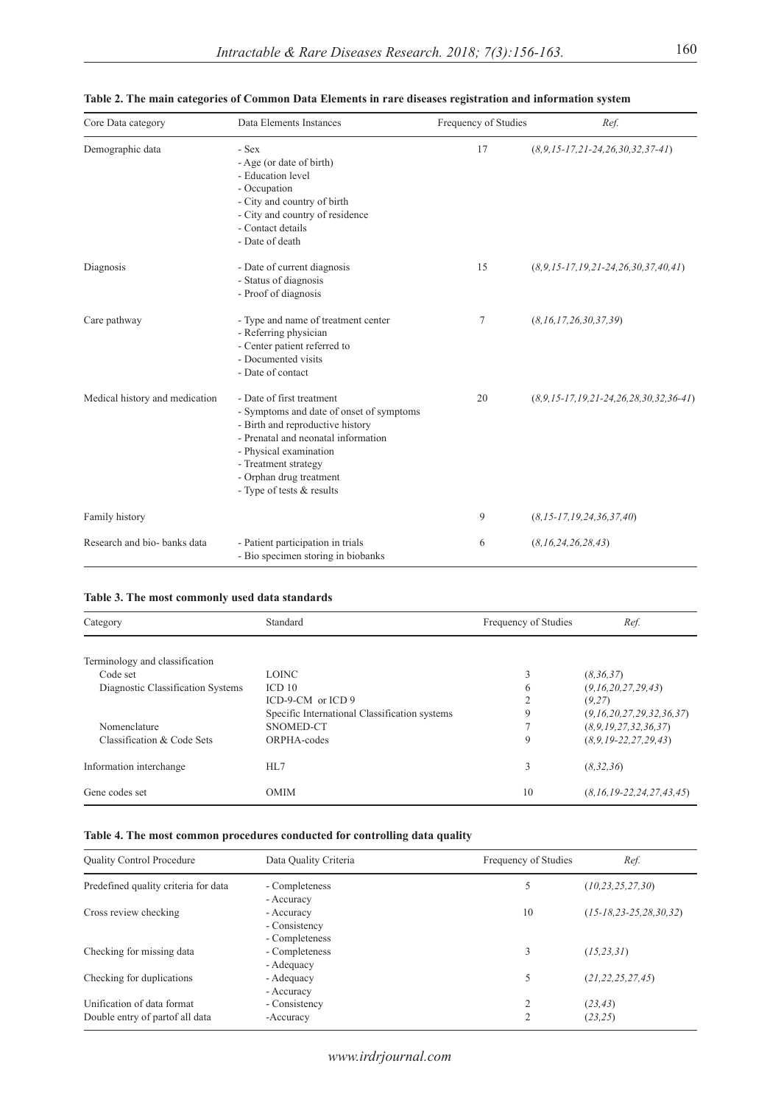| Core Data category             | Data Elements Instances                                                                                                                                                                                                                                    | Frequency of Studies | Ref.                                               |
|--------------------------------|------------------------------------------------------------------------------------------------------------------------------------------------------------------------------------------------------------------------------------------------------------|----------------------|----------------------------------------------------|
| Demographic data               | - Sex<br>- Age (or date of birth)<br>- Education level<br>- Occupation<br>- City and country of birth<br>- City and country of residence<br>- Contact details<br>- Date of death                                                                           | 17                   | $(8, 9, 15 - 17, 21 - 24, 26, 30, 32, 37 - 41)$    |
| Diagnosis                      | - Date of current diagnosis<br>- Status of diagnosis<br>- Proof of diagnosis                                                                                                                                                                               | 15                   | $(8, 9, 15 - 17, 19, 21 - 24, 26, 30, 37, 40, 41)$ |
| Care pathway                   | - Type and name of treatment center<br>- Referring physician<br>- Center patient referred to<br>- Documented visits<br>- Date of contact                                                                                                                   | 7                    | (8, 16, 17, 26, 30, 37, 39)                        |
| Medical history and medication | - Date of first treatment<br>- Symptoms and date of onset of symptoms<br>- Birth and reproductive history<br>- Prenatal and neonatal information<br>- Physical examination<br>- Treatment strategy<br>- Orphan drug treatment<br>- Type of tests & results | 20                   | $(8,9,15-17,19,21-24,26,28,30,32,36-41)$           |
| Family history                 |                                                                                                                                                                                                                                                            | 9                    | $(8, 15 - 17, 19, 24, 36, 37, 40)$                 |
| Research and bio- banks data   | - Patient participation in trials<br>- Bio specimen storing in biobanks                                                                                                                                                                                    | 6                    | (8, 16, 24, 26, 28, 43)                            |

|  |  |  |  | Table 2. The main categories of Common Data Elements in rare diseases registration and information system |  |  |
|--|--|--|--|-----------------------------------------------------------------------------------------------------------|--|--|
|  |  |  |  |                                                                                                           |  |  |
|  |  |  |  |                                                                                                           |  |  |
|  |  |  |  |                                                                                                           |  |  |

## **Table 3. The most commonly used data standards**

| Standard<br>Category              |                                               | Frequency of Studies | Ref.                               |  |
|-----------------------------------|-----------------------------------------------|----------------------|------------------------------------|--|
|                                   |                                               |                      |                                    |  |
| Terminology and classification    |                                               |                      |                                    |  |
| Code set                          | <b>LOINC</b>                                  | 3                    | (8,36,37)                          |  |
| Diagnostic Classification Systems | ICD <sub>10</sub>                             | 6                    | (9,16,20,27,29,43)                 |  |
|                                   | $ICD-9-CM$ or $ICD9$                          | $\overline{2}$       | (9.27)                             |  |
|                                   | Specific International Classification systems | 9                    | (9, 16, 20, 27, 29, 32, 36, 37)    |  |
| Nomenclature                      | SNOMED-CT                                     | $\mathcal{I}$        | (8, 9, 19, 27, 32, 36, 37)         |  |
| Classification & Code Sets        | ORPHA-codes                                   | 9                    | $(8, 9, 19 - 22, 27, 29, 43)$      |  |
| Information interchange           | HI.7                                          | 3                    | (8, 32, 36)                        |  |
| Gene codes set                    | <b>OMIM</b>                                   | 10                   | $(8, 16, 19 - 22, 24, 27, 43, 45)$ |  |

## **Table 4. The most common procedures conducted for controlling data quality**

| <b>Quality Control Procedure</b>                              | Data Quality Criteria                         | Frequency of Studies | Ref.                         |
|---------------------------------------------------------------|-----------------------------------------------|----------------------|------------------------------|
| Predefined quality criteria for data                          | - Completeness<br>- Accuracy                  | 5                    | (10, 23, 25, 27, 30)         |
| Cross review checking                                         | - Accuracy<br>- Consistency<br>- Completeness | 10                   | $(15-18, 23-25, 28, 30, 32)$ |
| Checking for missing data                                     | - Completeness<br>- Adequacy                  | 3                    | (15, 23, 31)                 |
| Checking for duplications                                     | - Adequacy<br>- Accuracy                      | 5                    | (21, 22, 25, 27, 45)         |
| Unification of data format<br>Double entry of partof all data | - Consistency<br>-Accuracy                    | 2<br>2               | (23, 43)<br>(23, 25)         |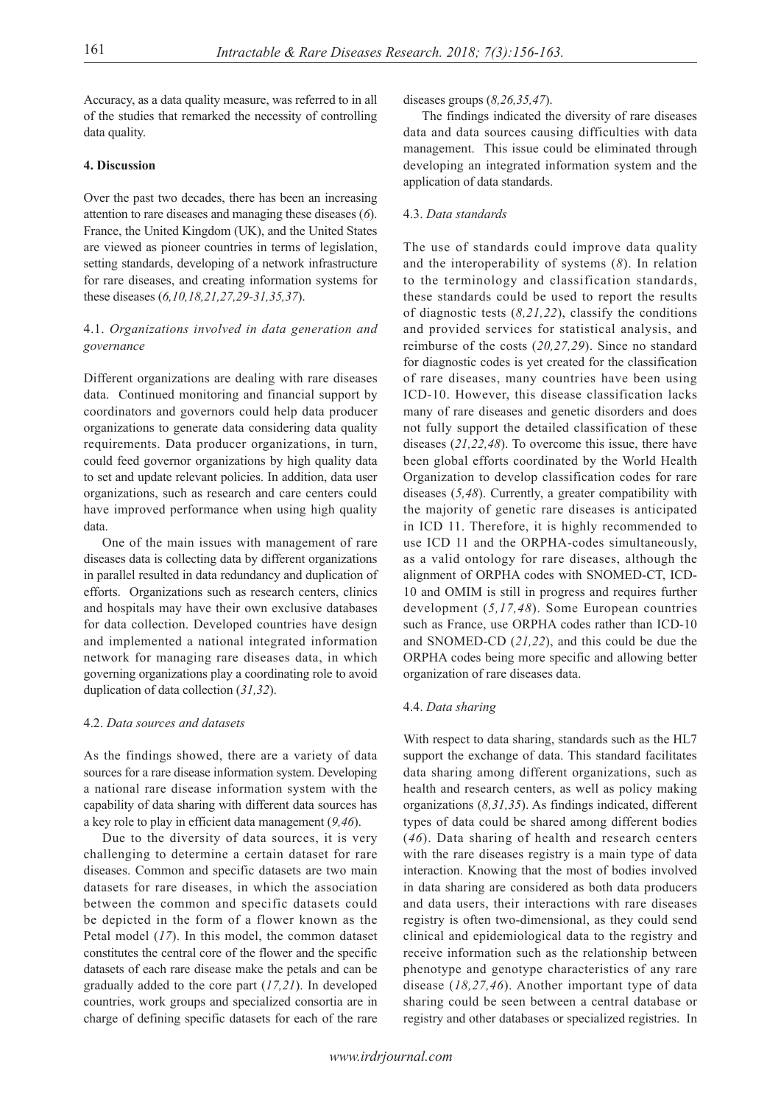Accuracy, as a data quality measure, was referred to in all of the studies that remarked the necessity of controlling data quality.

## **4. Discussion**

Over the past two decades, there has been an increasing attention to rare diseases and managing these diseases (*6*). France, the United Kingdom (UK), and the United States are viewed as pioneer countries in terms of legislation, setting standards, developing of a network infrastructure for rare diseases, and creating information systems for these diseases (*6,10,18,21,27,29-31,35,37*).

## 4.1. *Organizations involved in data generation and governance*

Different organizations are dealing with rare diseases data. Continued monitoring and financial support by coordinators and governors could help data producer organizations to generate data considering data quality requirements. Data producer organizations, in turn, could feed governor organizations by high quality data to set and update relevant policies. In addition, data user organizations, such as research and care centers could have improved performance when using high quality data.

One of the main issues with management of rare diseases data is collecting data by different organizations in parallel resulted in data redundancy and duplication of efforts. Organizations such as research centers, clinics and hospitals may have their own exclusive databases for data collection. Developed countries have design and implemented a national integrated information network for managing rare diseases data, in which governing organizations play a coordinating role to avoid duplication of data collection (*31,32*).

## 4.2. *Data sources and datasets*

As the findings showed, there are a variety of data sources for a rare disease information system. Developing a national rare disease information system with the capability of data sharing with different data sources has a key role to play in efficient data management (*9,46*).

Due to the diversity of data sources, it is very challenging to determine a certain dataset for rare diseases. Common and specific datasets are two main datasets for rare diseases, in which the association between the common and specific datasets could be depicted in the form of a flower known as the Petal model (*17*). In this model, the common dataset constitutes the central core of the flower and the specific datasets of each rare disease make the petals and can be gradually added to the core part (*17,21*). In developed countries, work groups and specialized consortia are in charge of defining specific datasets for each of the rare

## diseases groups (*8,26,35,47*).

The findings indicated the diversity of rare diseases data and data sources causing difficulties with data management. This issue could be eliminated through developing an integrated information system and the application of data standards.

## 4.3. *Data standards*

The use of standards could improve data quality and the interoperability of systems (*8*). In relation to the terminology and classification standards, these standards could be used to report the results of diagnostic tests (*8,21,22*), classify the conditions and provided services for statistical analysis, and reimburse of the costs (*20,27,29*). Since no standard for diagnostic codes is yet created for the classification of rare diseases, many countries have been using ICD-10. However, this disease classification lacks many of rare diseases and genetic disorders and does not fully support the detailed classification of these diseases (*21,22,48*). To overcome this issue, there have been global efforts coordinated by the World Health Organization to develop classification codes for rare diseases (*5,48*). Currently, a greater compatibility with the majority of genetic rare diseases is anticipated in ICD 11. Therefore, it is highly recommended to use ICD 11 and the ORPHA-codes simultaneously, as a valid ontology for rare diseases, although the alignment of ORPHA codes with SNOMED-CT, ICD-10 and OMIM is still in progress and requires further development (*5,17,48*). Some European countries such as France, use ORPHA codes rather than ICD-10 and SNOMED-CD (*21,22*), and this could be due the ORPHA codes being more specific and allowing better organization of rare diseases data.

## 4.4. *Data sharing*

With respect to data sharing, standards such as the HL7 support the exchange of data. This standard facilitates data sharing among different organizations, such as health and research centers, as well as policy making organizations (*8,31,35*). As findings indicated, different types of data could be shared among different bodies (*46*). Data sharing of health and research centers with the rare diseases registry is a main type of data interaction. Knowing that the most of bodies involved in data sharing are considered as both data producers and data users, their interactions with rare diseases registry is often two-dimensional, as they could send clinical and epidemiological data to the registry and receive information such as the relationship between phenotype and genotype characteristics of any rare disease (*18,27,46*). Another important type of data sharing could be seen between a central database or registry and other databases or specialized registries. In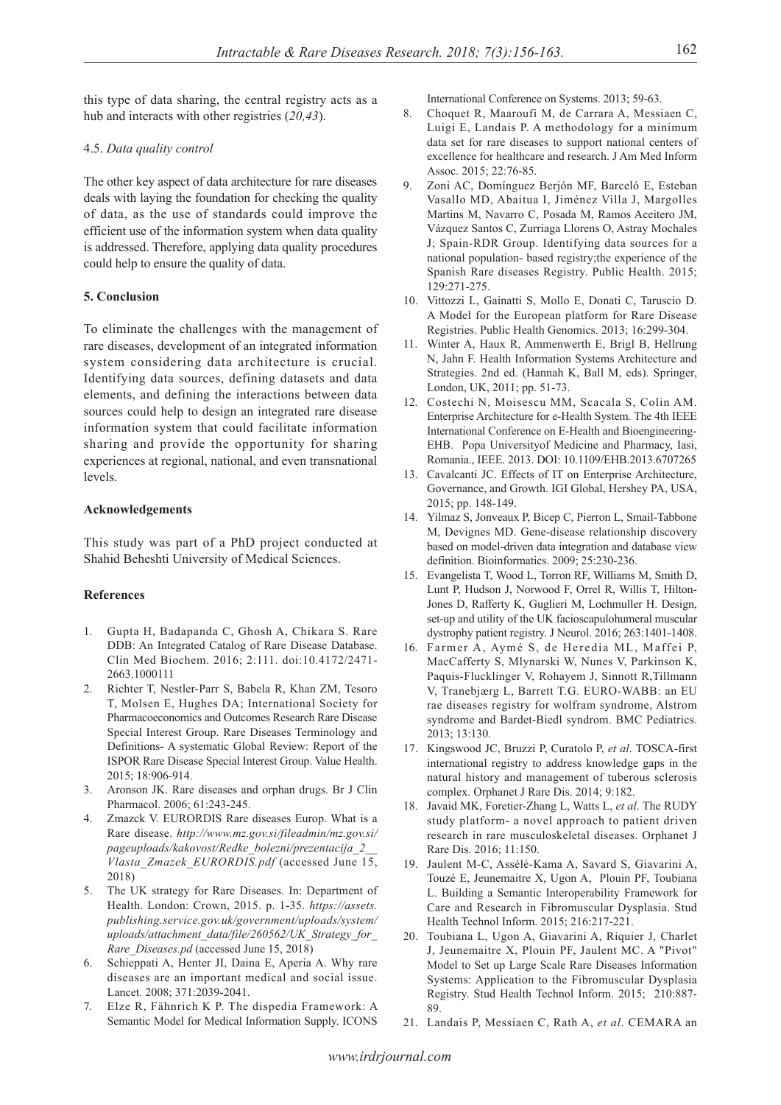this type of data sharing, the central registry acts as a hub and interacts with other registries (*20,43*).

## 4.5. *Data quality control*

The other key aspect of data architecture for rare diseases deals with laying the foundation for checking the quality of data, as the use of standards could improve the efficient use of the information system when data quality is addressed. Therefore, applying data quality procedures could help to ensure the quality of data.

## **5. Conclusion**

To eliminate the challenges with the management of rare diseases, development of an integrated information system considering data architecture is crucial. Identifying data sources, defining datasets and data elements, and defining the interactions between data sources could help to design an integrated rare disease information system that could facilitate information sharing and provide the opportunity for sharing experiences at regional, national, and even transnational levels.

## **Acknowledgements**

This study was part of a PhD project conducted at Shahid Beheshti University of Medical Sciences.

## **References**

- 1. Gupta H, Badapanda C, Ghosh A, Chikara S. Rare DDB: An Integrated Catalog of Rare Disease Database. Clin Med Biochem. 2016; 2:111. doi:10.4172/2471- 2663.1000111
- 2. Richter T, Nestler-Parr S, Babela R, Khan ZM, Tesoro T, Molsen E, Hughes DA; International Society for Pharmacoeconomics and Outcomes Research Rare Disease Special Interest Group. Rare Diseases Terminology and Definitions- A systematic Global Review: Report of the ISPOR Rare Disease Special Interest Group. Value Health. 2015; 18:906-914.
- 3. Aronson JK. Rare diseases and orphan drugs. Br J Clin Pharmacol. 2006; 61:243-245.
- 4. Zmazck V. EURORDIS Rare diseases Europ. What is a Rare disease. *http://www.mz.gov.si/fileadmin/mz.gov.si/ pageuploads/kakovost/Redke\_bolezni/prezentacija\_2\_\_ Vlasta\_Zmazek\_EURORDIS.pdf* (accessed June 15, 2018)
- 5. The UK strategy for Rare Diseases. In: Department of Health. London: Crown, 2015. p. 1-35. *https://assets. publishing.service.gov.uk/government/uploads/system/ uploads/attachment\_data/file/260562/UK\_Strategy\_for\_ Rare\_Diseases.pd* (accessed June 15, 2018)
- 6. Schieppati A, Henter JI, Daina E, Aperia A. Why rare diseases are an important medical and social issue. Lancet. 2008; 371:2039-2041.
- 7. Elze R, Fähnrich K P. The dispedia Framework: A Semantic Model for Medical Information Supply. ICONS

International Conference on Systems. 2013; 59-63.

- 8. Choquet R, Maaroufi M, de Carrara A, Messiaen C, Luigi E, Landais P. A methodology for a minimum data set for rare diseases to support national centers of excellence for healthcare and research. J Am Med Inform Assoc. 2015; 22:76-85.
- 9. Zoni AC, Domínguez Berjón MF, Barceló E, Esteban Vasallo MD, Abaitua I, Jiménez Villa J, Margolles Martins M, Navarro C, Posada M, Ramos Aceitero JM, Vázquez Santos C, Zurriaga Llorens O, Astray Mochales J; Spain-RDR Group. Identifying data sources for a national population- based registry;the experience of the Spanish Rare diseases Registry. Public Health. 2015; 129:271-275.
- 10. Vittozzi L, Gainatti S, Mollo E, Donati C, Taruscio D. A Model for the European platform for Rare Disease Registries. Public Health Genomics. 2013; 16:299-304.
- 11. Winter A, Haux R, Ammenwerth E, Brigl B, Hellrung N, Jahn F. Health Information Systems Architecture and Strategies. 2nd ed. (Hannah K, Ball M, eds). Springer, London, UK, 2011; pp. 51-73.
- 12. Costechi N, Moisescu MM, Scacala S, Colin AM. Enterprise Architecture for e-Health System. The 4th IEEE International Conference on E-Health and Bioengineering-EHB. Popa Universityof Medicine and Pharmacy, Iasi, Romania., IEEE. 2013. DOI: 10.1109/EHB.2013.6707265
- 13. Cavalcanti JC. Effects of IT on Enterprise Architecture, Governance, and Growth. IGI Global, Hershey PA, USA, 2015; pp. 148-149.
- 14. Yilmaz S, Jonveaux P, Bicep C, Pierron L, Smail-Tabbone M, Devignes MD. Gene-disease relationship discovery based on model-driven data integration and database view definition. Bioinformatics. 2009; 25:230-236.
- 15. Evangelista T, Wood L, Torron RF, Williams M, Smith D, Lunt P, Hudson J, Norwood F, Orrel R, Willis T, Hilton-Jones D, Rafferty K, Guglieri M, Lochmuller H. Design, set-up and utility of the UK facioscapulohumeral muscular dystrophy patient registry. J Neurol. 2016; 263:1401-1408.
- 16. Farmer A, Aymé S, de Heredia ML, Maffei P, MacCafferty S, Mlynarski W, Nunes V, Parkinson K, Paquis-Flucklinger V, Rohayem J, Sinnott R,Tillmann V, Tranebjærg L, Barrett T.G. EURO-WABB: an EU rae diseases registry for wolfram syndrome, Alstrom syndrome and Bardet-Biedl syndrom. BMC Pediatrics. 2013; 13:130.
- 17. Kingswood JC, Bruzzi P, Curatolo P, *et al*. TOSCA-first international registry to address knowledge gaps in the natural history and management of tuberous sclerosis complex. Orphanet J Rare Dis. 2014; 9:182.
- 18. Javaid MK, Foretier-Zhang L, Watts L, *et al*. The RUDY study platform- a novel approach to patient driven research in rare musculoskeletal diseases. Orphanet J Rare Dis. 2016; 11:150.
- 19. Jaulent M-C, Assélé-Kama A, Savard S, Giavarini A, Touzé E, Jeunemaitre X, Ugon A, Plouin PF, Toubiana L. Building a Semantic Interoperability Framework for Care and Research in Fibromuscular Dysplasia. Stud Health Technol Inform. 2015; 216:217-221.
- 20. Toubiana L, Ugon A, Giavarini A, Riquier J, Charlet J, Jeunemaitre X, Plouin PF, Jaulent MC. A "Pivot" Model to Set up Large Scale Rare Diseases Information Systems: Application to the Fibromuscular Dysplasia Registry. Stud Health Technol Inform. 2015; 210:887- 89.
- 21. Landais P, Messiaen C, Rath A, *et al*. CEMARA an